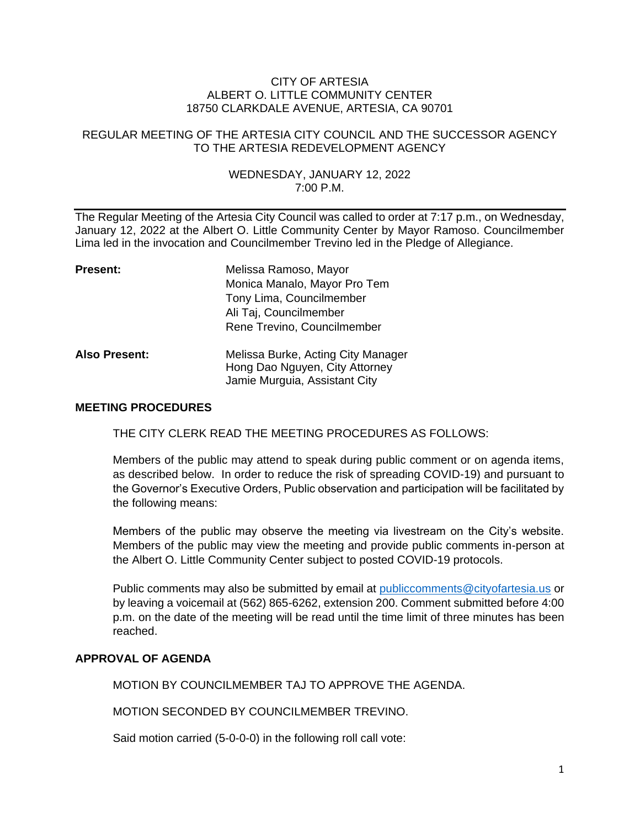#### CITY OF ARTESIA ALBERT O. LITTLE COMMUNITY CENTER 18750 CLARKDALE AVENUE, ARTESIA, CA 90701

## REGULAR MEETING OF THE ARTESIA CITY COUNCIL AND THE SUCCESSOR AGENCY TO THE ARTESIA REDEVELOPMENT AGENCY

## WEDNESDAY, JANUARY 12, 2022 7:00 P.M.

The Regular Meeting of the Artesia City Council was called to order at 7:17 p.m., on Wednesday, January 12, 2022 at the Albert O. Little Community Center by Mayor Ramoso. Councilmember Lima led in the invocation and Councilmember Trevino led in the Pledge of Allegiance.

| <b>Present:</b>      | Melissa Ramoso, Mayor                                                                                 |
|----------------------|-------------------------------------------------------------------------------------------------------|
|                      | Monica Manalo, Mayor Pro Tem                                                                          |
|                      | Tony Lima, Councilmember                                                                              |
|                      | Ali Taj, Councilmember                                                                                |
|                      | Rene Trevino, Councilmember                                                                           |
| <b>Also Present:</b> | Melissa Burke, Acting City Manager<br>Hong Dao Nguyen, City Attorney<br>Jamie Murguia, Assistant City |

## **MEETING PROCEDURES**

THE CITY CLERK READ THE MEETING PROCEDURES AS FOLLOWS:

Members of the public may attend to speak during public comment or on agenda items, as described below. In order to reduce the risk of spreading COVID-19) and pursuant to the Governor's Executive Orders, Public observation and participation will be facilitated by the following means:

Members of the public may observe the meeting via livestream on the City's website. Members of the public may view the meeting and provide public comments in-person at the Albert O. Little Community Center subject to posted COVID-19 protocols.

Public comments may also be submitted by email at [publiccomments@cityofartesia.us](mailto:publiccomments@cityofartesia.us) or by leaving a voicemail at (562) 865-6262, extension 200. Comment submitted before 4:00 p.m. on the date of the meeting will be read until the time limit of three minutes has been reached.

### **APPROVAL OF AGENDA**

MOTION BY COUNCILMEMBER TAJ TO APPROVE THE AGENDA.

MOTION SECONDED BY COUNCILMEMBER TREVINO.

Said motion carried (5-0-0-0) in the following roll call vote: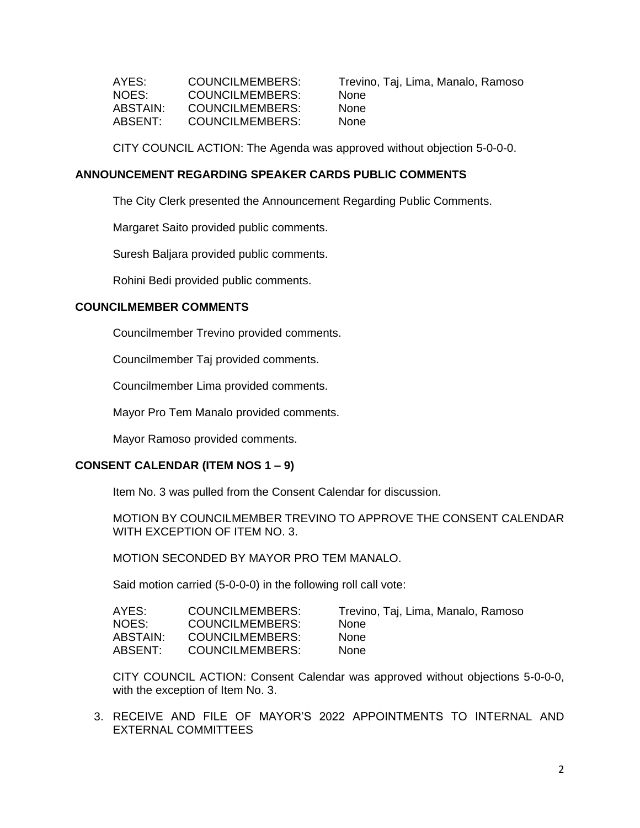| COUNCILMEMBERS: | Trevii |
|-----------------|--------|
| COUNCILMEMBERS: | None   |
| COUNCILMEMBERS: | None   |
| COUNCILMEMBERS: | None   |
|                 |        |

Trevino, Taj, Lima, Manalo, Ramoso

CITY COUNCIL ACTION: The Agenda was approved without objection 5-0-0-0.

## **ANNOUNCEMENT REGARDING SPEAKER CARDS PUBLIC COMMENTS**

The City Clerk presented the Announcement Regarding Public Comments.

Margaret Saito provided public comments.

Suresh Baljara provided public comments.

Rohini Bedi provided public comments.

## **COUNCILMEMBER COMMENTS**

Councilmember Trevino provided comments.

Councilmember Taj provided comments.

Councilmember Lima provided comments.

Mayor Pro Tem Manalo provided comments.

Mayor Ramoso provided comments.

## **CONSENT CALENDAR (ITEM NOS 1 – 9)**

Item No. 3 was pulled from the Consent Calendar for discussion.

MOTION BY COUNCILMEMBER TREVINO TO APPROVE THE CONSENT CALENDAR WITH EXCEPTION OF ITEM NO. 3.

MOTION SECONDED BY MAYOR PRO TEM MANALO.

Said motion carried (5-0-0-0) in the following roll call vote:

| AYES:    | COUNCILMEMBERS: | Trevino, Taj, Lima, Manalo, Ramoso |
|----------|-----------------|------------------------------------|
| NOES:    | COUNCILMEMBERS: | <b>None</b>                        |
| ABSTAIN: | COUNCILMEMBERS: | <b>None</b>                        |
| ABSENT:  | COUNCILMEMBERS: | <b>None</b>                        |

CITY COUNCIL ACTION: Consent Calendar was approved without objections 5-0-0-0, with the exception of Item No. 3.

3. RECEIVE AND FILE OF MAYOR'S 2022 APPOINTMENTS TO INTERNAL AND EXTERNAL COMMITTEES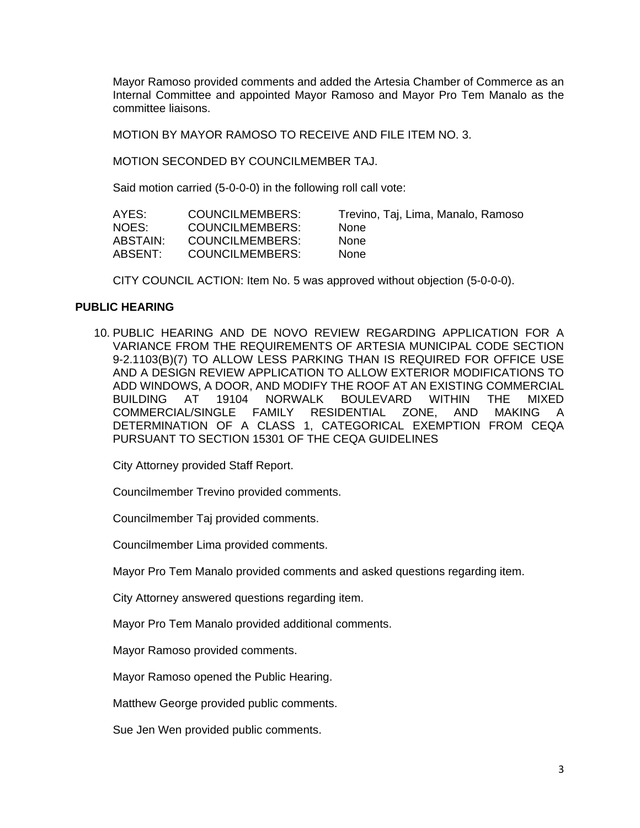Mayor Ramoso provided comments and added the Artesia Chamber of Commerce as an Internal Committee and appointed Mayor Ramoso and Mayor Pro Tem Manalo as the committee liaisons.

MOTION BY MAYOR RAMOSO TO RECEIVE AND FILE ITEM NO. 3.

MOTION SECONDED BY COUNCILMEMBER TAJ.

Said motion carried (5-0-0-0) in the following roll call vote:

| AYES:    | COUNCILMEMBERS: | Trevino, Taj, Lima, Manalo, Ramoso |
|----------|-----------------|------------------------------------|
| NOES:    | COUNCILMEMBERS: | <b>None</b>                        |
| ABSTAIN: | COUNCILMEMBERS: | None                               |
| ABSENT:  | COUNCILMEMBERS: | <b>None</b>                        |

CITY COUNCIL ACTION: Item No. 5 was approved without objection (5-0-0-0).

## **PUBLIC HEARING**

10. PUBLIC HEARING AND DE NOVO REVIEW REGARDING APPLICATION FOR A VARIANCE FROM THE REQUIREMENTS OF ARTESIA MUNICIPAL CODE SECTION 9-2.1103(B)(7) TO ALLOW LESS PARKING THAN IS REQUIRED FOR OFFICE USE AND A DESIGN REVIEW APPLICATION TO ALLOW EXTERIOR MODIFICATIONS TO ADD WINDOWS, A DOOR, AND MODIFY THE ROOF AT AN EXISTING COMMERCIAL BUILDING AT 19104 NORWALK BOULEVARD WITHIN THE MIXED COMMERCIAL/SINGLE FAMILY RESIDENTIAL ZONE, AND MAKING A DETERMINATION OF A CLASS 1, CATEGORICAL EXEMPTION FROM CEQA PURSUANT TO SECTION 15301 OF THE CEQA GUIDELINES

City Attorney provided Staff Report.

Councilmember Trevino provided comments.

Councilmember Taj provided comments.

Councilmember Lima provided comments.

Mayor Pro Tem Manalo provided comments and asked questions regarding item.

City Attorney answered questions regarding item.

Mayor Pro Tem Manalo provided additional comments.

Mayor Ramoso provided comments.

Mayor Ramoso opened the Public Hearing.

Matthew George provided public comments.

Sue Jen Wen provided public comments.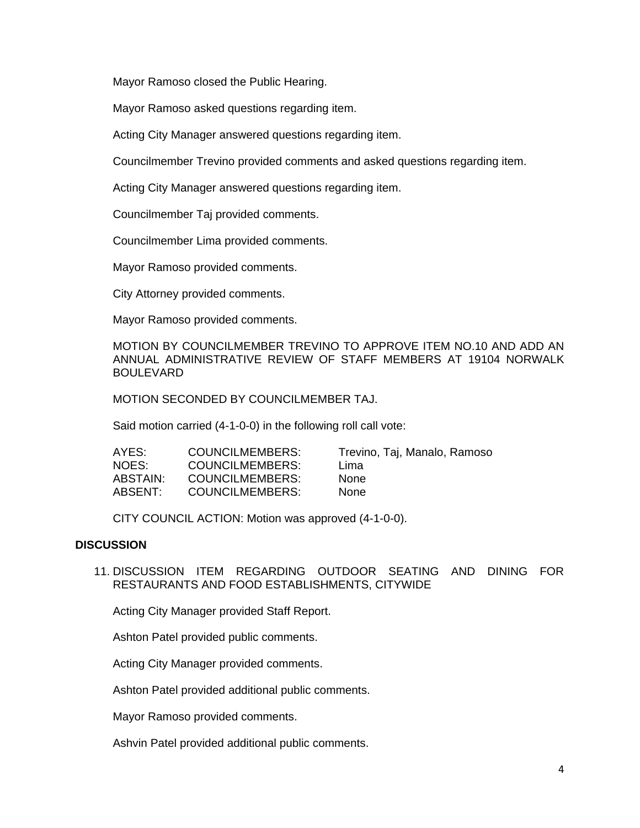Mayor Ramoso closed the Public Hearing.

Mayor Ramoso asked questions regarding item.

Acting City Manager answered questions regarding item.

Councilmember Trevino provided comments and asked questions regarding item.

Acting City Manager answered questions regarding item.

Councilmember Taj provided comments.

Councilmember Lima provided comments.

Mayor Ramoso provided comments.

City Attorney provided comments.

Mayor Ramoso provided comments.

MOTION BY COUNCILMEMBER TREVINO TO APPROVE ITEM NO.10 AND ADD AN ANNUAL ADMINISTRATIVE REVIEW OF STAFF MEMBERS AT 19104 NORWALK BOULEVARD

MOTION SECONDED BY COUNCILMEMBER TAJ.

Said motion carried (4-1-0-0) in the following roll call vote:

| AYES:    | COUNCILMEMBERS:        | Trevino, Taj, Manalo, Ramoso |
|----------|------------------------|------------------------------|
| NOES:    | <b>COUNCILMEMBERS:</b> | Lima                         |
| ABSTAIN: | <b>COUNCILMEMBERS:</b> | <b>None</b>                  |
| ABSENT:  | COUNCILMEMBERS:        | <b>None</b>                  |

CITY COUNCIL ACTION: Motion was approved (4-1-0-0).

#### **DISCUSSION**

11. DISCUSSION ITEM REGARDING OUTDOOR SEATING AND DINING FOR RESTAURANTS AND FOOD ESTABLISHMENTS, CITYWIDE

Acting City Manager provided Staff Report.

Ashton Patel provided public comments.

Acting City Manager provided comments.

Ashton Patel provided additional public comments.

Mayor Ramoso provided comments.

Ashvin Patel provided additional public comments.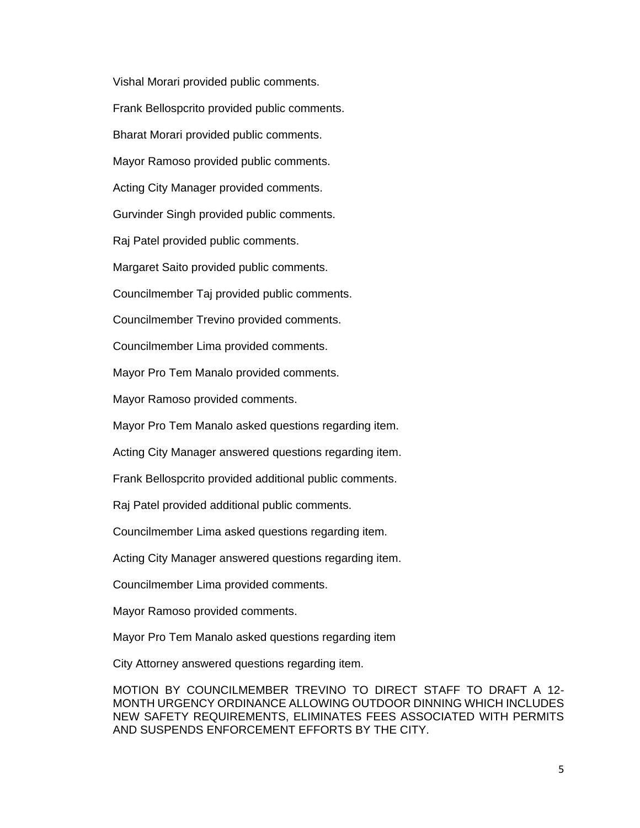Vishal Morari provided public comments. Frank Bellospcrito provided public comments. Bharat Morari provided public comments. Mayor Ramoso provided public comments. Acting City Manager provided comments. Gurvinder Singh provided public comments. Raj Patel provided public comments. Margaret Saito provided public comments. Councilmember Taj provided public comments. Councilmember Trevino provided comments. Councilmember Lima provided comments. Mayor Pro Tem Manalo provided comments. Mayor Ramoso provided comments. Mayor Pro Tem Manalo asked questions regarding item. Acting City Manager answered questions regarding item. Frank Bellospcrito provided additional public comments. Raj Patel provided additional public comments. Councilmember Lima asked questions regarding item. Acting City Manager answered questions regarding item. Councilmember Lima provided comments. Mayor Ramoso provided comments. Mayor Pro Tem Manalo asked questions regarding item City Attorney answered questions regarding item.

MOTION BY COUNCILMEMBER TREVINO TO DIRECT STAFF TO DRAFT A 12- MONTH URGENCY ORDINANCE ALLOWING OUTDOOR DINNING WHICH INCLUDES NEW SAFETY REQUIREMENTS, ELIMINATES FEES ASSOCIATED WITH PERMITS AND SUSPENDS ENFORCEMENT EFFORTS BY THE CITY.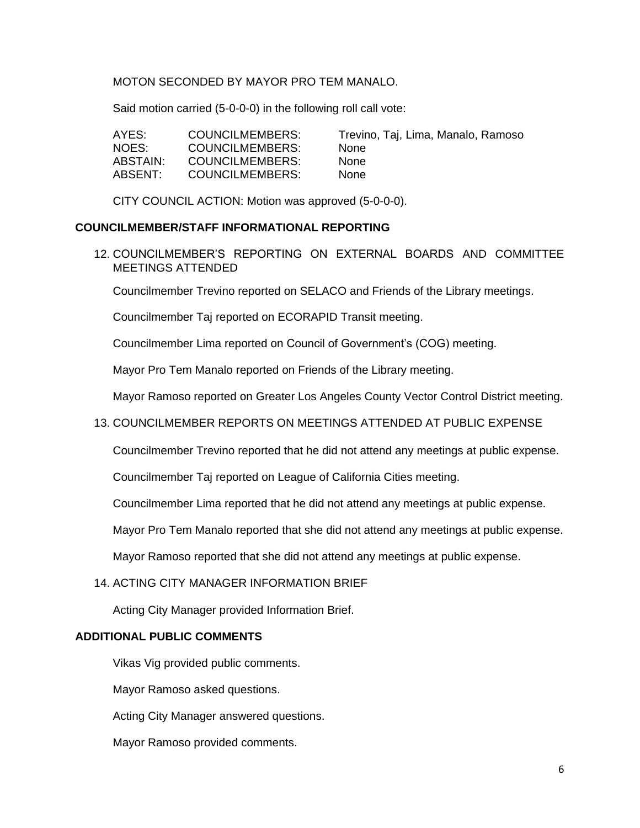## MOTON SECONDED BY MAYOR PRO TEM MANALO.

Said motion carried (5-0-0-0) in the following roll call vote:

| AYES:    | COUNCILMEMBERS: | Trevino, Taj, Lima, Manalo, Ramoso |
|----------|-----------------|------------------------------------|
| NOES:    | COUNCILMEMBERS: | <b>None</b>                        |
| ABSTAIN: | COUNCILMEMBERS: | <b>None</b>                        |
| ABSENT:  | COUNCILMEMBERS: | <b>None</b>                        |

CITY COUNCIL ACTION: Motion was approved (5-0-0-0).

#### **COUNCILMEMBER/STAFF INFORMATIONAL REPORTING**

12. COUNCILMEMBER'S REPORTING ON EXTERNAL BOARDS AND COMMITTEE MEETINGS ATTENDED

Councilmember Trevino reported on SELACO and Friends of the Library meetings.

Councilmember Taj reported on ECORAPID Transit meeting.

Councilmember Lima reported on Council of Government's (COG) meeting.

Mayor Pro Tem Manalo reported on Friends of the Library meeting.

Mayor Ramoso reported on Greater Los Angeles County Vector Control District meeting.

### 13. COUNCILMEMBER REPORTS ON MEETINGS ATTENDED AT PUBLIC EXPENSE

Councilmember Trevino reported that he did not attend any meetings at public expense.

Councilmember Taj reported on League of California Cities meeting.

Councilmember Lima reported that he did not attend any meetings at public expense.

Mayor Pro Tem Manalo reported that she did not attend any meetings at public expense.

Mayor Ramoso reported that she did not attend any meetings at public expense.

#### 14. ACTING CITY MANAGER INFORMATION BRIEF

Acting City Manager provided Information Brief.

#### **ADDITIONAL PUBLIC COMMENTS**

Vikas Vig provided public comments.

Mayor Ramoso asked questions.

Acting City Manager answered questions.

Mayor Ramoso provided comments.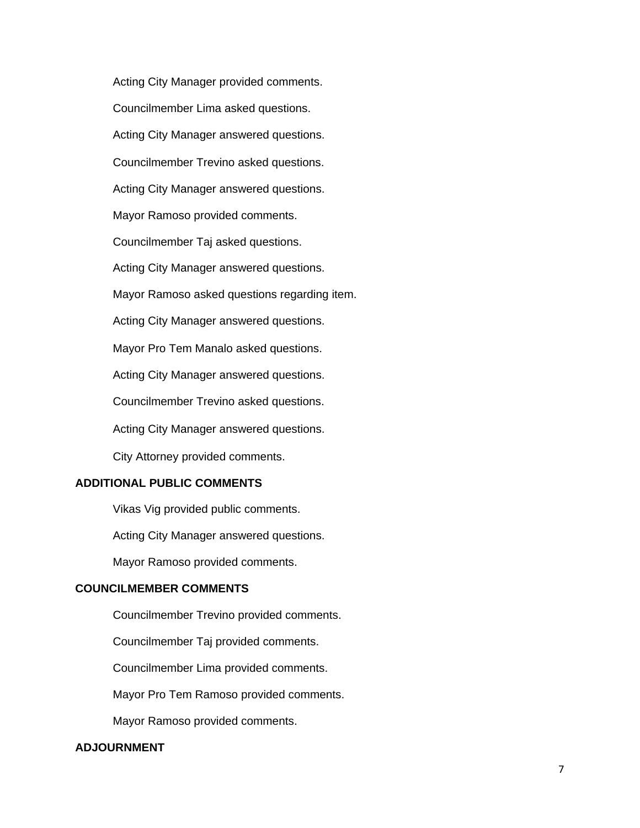Acting City Manager provided comments. Councilmember Lima asked questions. Acting City Manager answered questions. Councilmember Trevino asked questions. Acting City Manager answered questions. Mayor Ramoso provided comments. Councilmember Taj asked questions. Acting City Manager answered questions. Mayor Ramoso asked questions regarding item. Acting City Manager answered questions. Mayor Pro Tem Manalo asked questions. Acting City Manager answered questions. Councilmember Trevino asked questions. Acting City Manager answered questions. City Attorney provided comments.

# **ADDITIONAL PUBLIC COMMENTS**

Vikas Vig provided public comments. Acting City Manager answered questions. Mayor Ramoso provided comments.

## **COUNCILMEMBER COMMENTS**

Councilmember Trevino provided comments.

Councilmember Taj provided comments.

Councilmember Lima provided comments.

Mayor Pro Tem Ramoso provided comments.

Mayor Ramoso provided comments.

### **ADJOURNMENT**